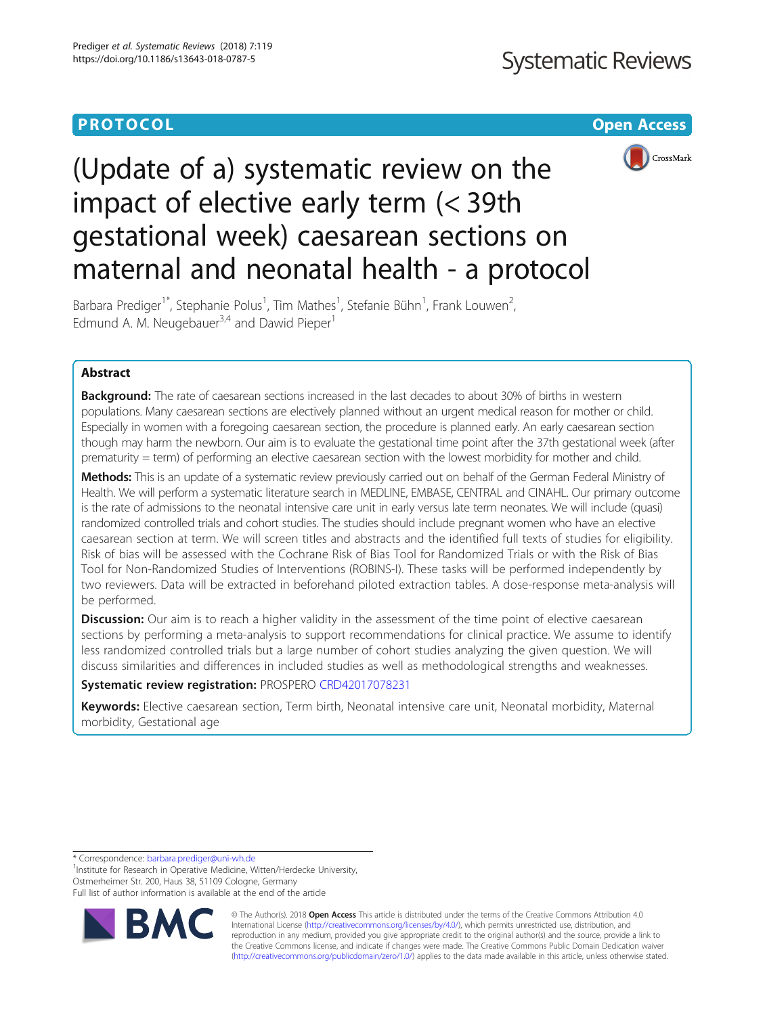



# (Update of a) systematic review on the impact of elective early term (< 39th gestational week) caesarean sections on maternal and neonatal health - a protocol

Barbara Prediger<sup>1\*</sup>, Stephanie Polus<sup>1</sup>, Tim Mathes<sup>1</sup>, Stefanie Bühn<sup>1</sup>, Frank Louwen<sup>2</sup> , Edmund A. M. Neugebauer $^{3,4}$  and Dawid Pieper $^{1}$ 

# Abstract

**Background:** The rate of caesarean sections increased in the last decades to about 30% of births in western populations. Many caesarean sections are electively planned without an urgent medical reason for mother or child. Especially in women with a foregoing caesarean section, the procedure is planned early. An early caesarean section though may harm the newborn. Our aim is to evaluate the gestational time point after the 37th gestational week (after prematurity = term) of performing an elective caesarean section with the lowest morbidity for mother and child.

Methods: This is an update of a systematic review previously carried out on behalf of the German Federal Ministry of Health. We will perform a systematic literature search in MEDLINE, EMBASE, CENTRAL and CINAHL. Our primary outcome is the rate of admissions to the neonatal intensive care unit in early versus late term neonates. We will include (quasi) randomized controlled trials and cohort studies. The studies should include pregnant women who have an elective caesarean section at term. We will screen titles and abstracts and the identified full texts of studies for eligibility. Risk of bias will be assessed with the Cochrane Risk of Bias Tool for Randomized Trials or with the Risk of Bias Tool for Non-Randomized Studies of Interventions (ROBINS-I). These tasks will be performed independently by two reviewers. Data will be extracted in beforehand piloted extraction tables. A dose-response meta-analysis will be performed.

**Discussion:** Our aim is to reach a higher validity in the assessment of the time point of elective caesarean sections by performing a meta-analysis to support recommendations for clinical practice. We assume to identify less randomized controlled trials but a large number of cohort studies analyzing the given question. We will discuss similarities and differences in included studies as well as methodological strengths and weaknesses.

# Systematic review registration: PROSPERO [CRD42017078231](https://www.crd.york.ac.uk/prospero/display_record.php?RecordID=78231)

Keywords: Elective caesarean section, Term birth, Neonatal intensive care unit, Neonatal morbidity, Maternal morbidity, Gestational age

\* Correspondence: [barbara.prediger@uni-wh.de](mailto:barbara.prediger@uni-wh.de) <sup>1</sup>

<sup>1</sup>Institute for Research in Operative Medicine, Witten/Herdecke University, Ostmerheimer Str. 200, Haus 38, 51109 Cologne, Germany Full list of author information is available at the end of the article



© The Author(s). 2018 Open Access This article is distributed under the terms of the Creative Commons Attribution 4.0 International License [\(http://creativecommons.org/licenses/by/4.0/](http://creativecommons.org/licenses/by/4.0/)), which permits unrestricted use, distribution, and reproduction in any medium, provided you give appropriate credit to the original author(s) and the source, provide a link to the Creative Commons license, and indicate if changes were made. The Creative Commons Public Domain Dedication waiver [\(http://creativecommons.org/publicdomain/zero/1.0/](http://creativecommons.org/publicdomain/zero/1.0/)) applies to the data made available in this article, unless otherwise stated.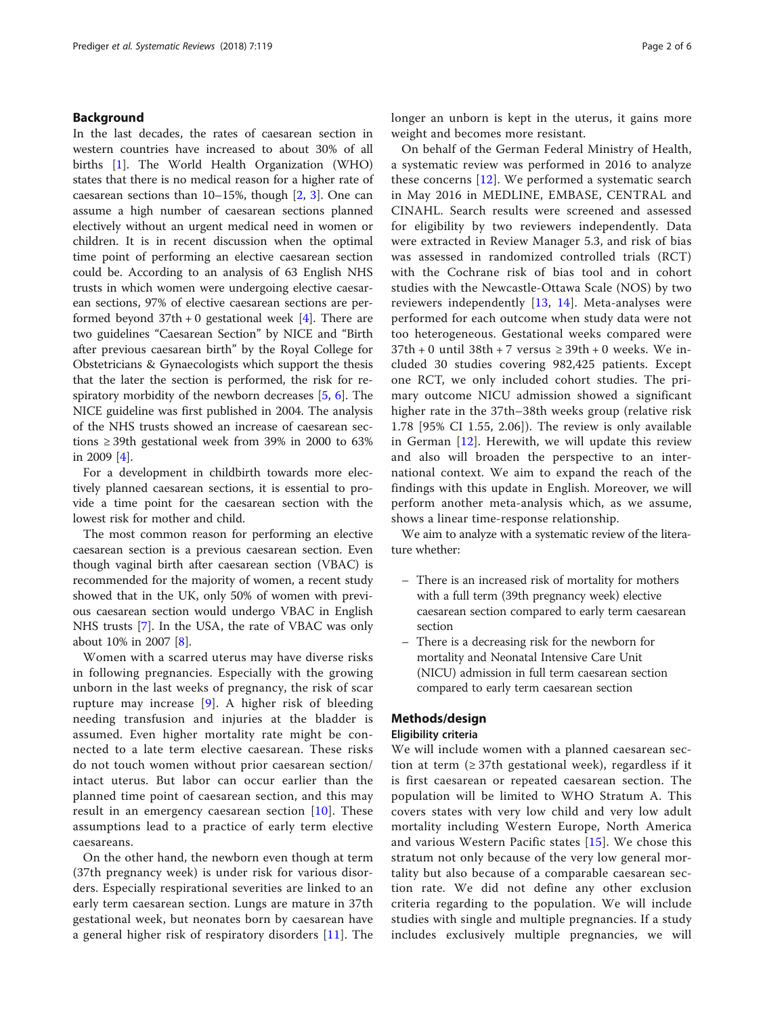# Background

In the last decades, the rates of caesarean section in western countries have increased to about 30% of all births [\[1](#page-4-0)]. The World Health Organization (WHO) states that there is no medical reason for a higher rate of caesarean sections than  $10-15%$ , though  $[2, 3]$  $[2, 3]$  $[2, 3]$ . One can assume a high number of caesarean sections planned electively without an urgent medical need in women or children. It is in recent discussion when the optimal time point of performing an elective caesarean section could be. According to an analysis of 63 English NHS trusts in which women were undergoing elective caesarean sections, 97% of elective caesarean sections are performed beyond  $37th + 0$  gestational week [[4\]](#page-4-0). There are two guidelines "Caesarean Section" by NICE and "Birth after previous caesarean birth" by the Royal College for Obstetricians & Gynaecologists which support the thesis that the later the section is performed, the risk for respiratory morbidity of the newborn decreases [[5,](#page-4-0) [6\]](#page-4-0). The NICE guideline was first published in 2004. The analysis of the NHS trusts showed an increase of caesarean sections ≥ 39th gestational week from 39% in 2000 to 63% in 2009 [\[4](#page-4-0)].

For a development in childbirth towards more electively planned caesarean sections, it is essential to provide a time point for the caesarean section with the lowest risk for mother and child.

The most common reason for performing an elective caesarean section is a previous caesarean section. Even though vaginal birth after caesarean section (VBAC) is recommended for the majority of women, a recent study showed that in the UK, only 50% of women with previous caesarean section would undergo VBAC in English NHS trusts [\[7\]](#page-5-0). In the USA, the rate of VBAC was only about 10% in 2007 [[8\]](#page-5-0).

Women with a scarred uterus may have diverse risks in following pregnancies. Especially with the growing unborn in the last weeks of pregnancy, the risk of scar rupture may increase [[9\]](#page-5-0). A higher risk of bleeding needing transfusion and injuries at the bladder is assumed. Even higher mortality rate might be connected to a late term elective caesarean. These risks do not touch women without prior caesarean section/ intact uterus. But labor can occur earlier than the planned time point of caesarean section, and this may result in an emergency caesarean section [\[10](#page-5-0)]. These assumptions lead to a practice of early term elective caesareans.

On the other hand, the newborn even though at term (37th pregnancy week) is under risk for various disorders. Especially respirational severities are linked to an early term caesarean section. Lungs are mature in 37th gestational week, but neonates born by caesarean have a general higher risk of respiratory disorders [[11\]](#page-5-0). The longer an unborn is kept in the uterus, it gains more weight and becomes more resistant.

On behalf of the German Federal Ministry of Health, a systematic review was performed in 2016 to analyze these concerns [[12\]](#page-5-0). We performed a systematic search in May 2016 in MEDLINE, EMBASE, CENTRAL and CINAHL. Search results were screened and assessed for eligibility by two reviewers independently. Data were extracted in Review Manager 5.3, and risk of bias was assessed in randomized controlled trials (RCT) with the Cochrane risk of bias tool and in cohort studies with the Newcastle-Ottawa Scale (NOS) by two reviewers independently  $[13, 14]$  $[13, 14]$  $[13, 14]$  $[13, 14]$  $[13, 14]$ . Meta-analyses were performed for each outcome when study data were not too heterogeneous. Gestational weeks compared were  $37th + 0$  until  $38th + 7$  versus  $\geq 39th + 0$  weeks. We included 30 studies covering 982,425 patients. Except one RCT, we only included cohort studies. The primary outcome NICU admission showed a significant higher rate in the 37th–38th weeks group (relative risk 1.78 [95% CI 1.55, 2.06]). The review is only available in German  $[12]$  $[12]$ . Herewith, we will update this review and also will broaden the perspective to an international context. We aim to expand the reach of the findings with this update in English. Moreover, we will perform another meta-analysis which, as we assume, shows a linear time-response relationship.

We aim to analyze with a systematic review of the literature whether:

- There is an increased risk of mortality for mothers with a full term (39th pregnancy week) elective caesarean section compared to early term caesarean section
- There is a decreasing risk for the newborn for mortality and Neonatal Intensive Care Unit (NICU) admission in full term caesarean section compared to early term caesarean section

# Methods/design

# Eligibility criteria

We will include women with a planned caesarean section at term  $(≥ 37th$  gestational week), regardless if it is first caesarean or repeated caesarean section. The population will be limited to WHO Stratum A. This covers states with very low child and very low adult mortality including Western Europe, North America and various Western Pacific states [[15\]](#page-5-0). We chose this stratum not only because of the very low general mortality but also because of a comparable caesarean section rate. We did not define any other exclusion criteria regarding to the population. We will include studies with single and multiple pregnancies. If a study includes exclusively multiple pregnancies, we will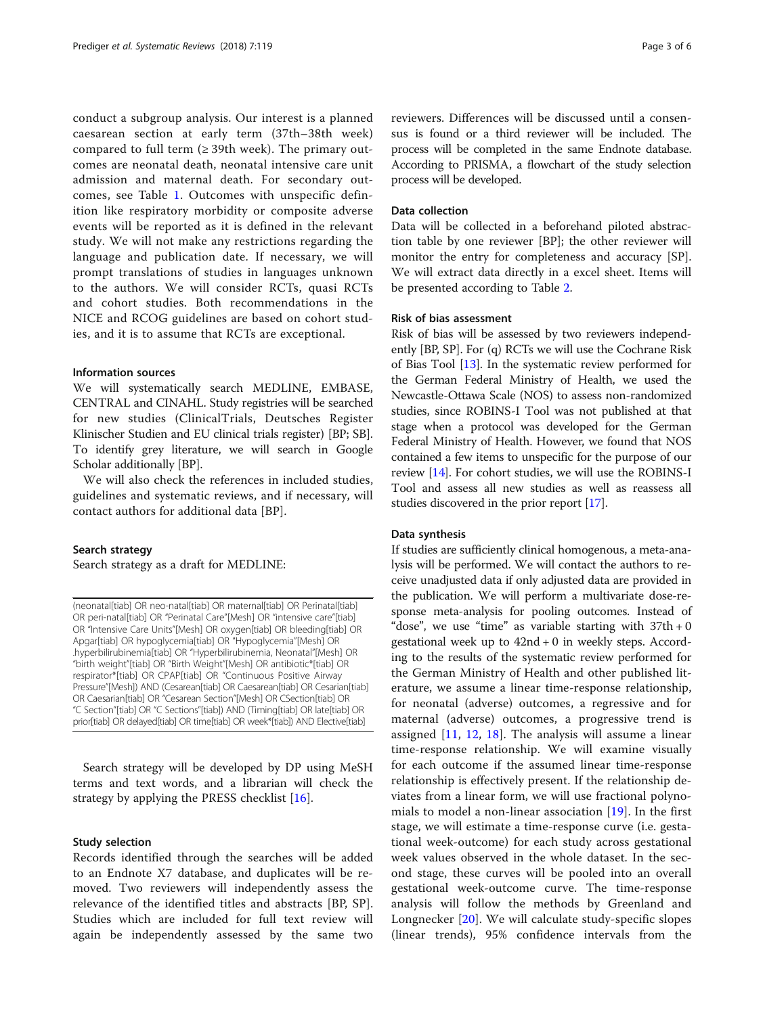conduct a subgroup analysis. Our interest is a planned caesarean section at early term (37th–38th week) compared to full term  $(≥ 39th week)$ . The primary outcomes are neonatal death, neonatal intensive care unit admission and maternal death. For secondary outcomes, see Table [1](#page-3-0). Outcomes with unspecific definition like respiratory morbidity or composite adverse events will be reported as it is defined in the relevant study. We will not make any restrictions regarding the language and publication date. If necessary, we will prompt translations of studies in languages unknown to the authors. We will consider RCTs, quasi RCTs and cohort studies. Both recommendations in the NICE and RCOG guidelines are based on cohort studies, and it is to assume that RCTs are exceptional.

# Information sources

We will systematically search MEDLINE, EMBASE, CENTRAL and CINAHL. Study registries will be searched for new studies (ClinicalTrials, Deutsches Register Klinischer Studien and EU clinical trials register) [BP; SB]. To identify grey literature, we will search in Google Scholar additionally [BP].

We will also check the references in included studies, guidelines and systematic reviews, and if necessary, will contact authors for additional data [BP].

#### Search strategy

Search strategy as a draft for MEDLINE:

(neonatal[tiab] OR neo-natal[tiab] OR maternal[tiab] OR Perinatal[tiab] OR peri-natal[tiab] OR "Perinatal Care"[Mesh] OR "intensive care"[tiab] OR "Intensive Care Units"[Mesh] OR oxygen[tiab] OR bleeding[tiab] OR Apgar[tiab] OR hypoglycemia[tiab] OR "Hypoglycemia"[Mesh] OR .hyperbilirubinemia[tiab] OR "Hyperbilirubinemia, Neonatal"[Mesh] OR "birth weight"[tiab] OR "Birth Weight"[Mesh] OR antibiotic\*[tiab] OR respirator\*[tiab] OR CPAP[tiab] OR "Continuous Positive Airway Pressure"[Mesh]) AND (Cesarean[tiab] OR Caesarean[tiab] OR Cesarian[tiab] OR Caesarian[tiab] OR "Cesarean Section"[Mesh] OR CSection[tiab] OR "C Section"[tiab] OR "C Sections"[tiab]) AND (Timing[tiab] OR late[tiab] OR prior[tiab] OR delayed[tiab] OR time[tiab] OR week\*[tiab]) AND Elective[tiab]

Search strategy will be developed by DP using MeSH terms and text words, and a librarian will check the strategy by applying the PRESS checklist [[16\]](#page-5-0).

### Study selection

Records identified through the searches will be added to an Endnote X7 database, and duplicates will be removed. Two reviewers will independently assess the relevance of the identified titles and abstracts [BP, SP]. Studies which are included for full text review will again be independently assessed by the same two

reviewers. Differences will be discussed until a consensus is found or a third reviewer will be included. The process will be completed in the same Endnote database. According to PRISMA, a flowchart of the study selection process will be developed.

# Data collection

Data will be collected in a beforehand piloted abstraction table by one reviewer [BP]; the other reviewer will monitor the entry for completeness and accuracy [SP]. We will extract data directly in a excel sheet. Items will be presented according to Table [2.](#page-3-0)

# Risk of bias assessment

Risk of bias will be assessed by two reviewers independently [BP, SP]. For (q) RCTs we will use the Cochrane Risk of Bias Tool [\[13\]](#page-5-0). In the systematic review performed for the German Federal Ministry of Health, we used the Newcastle-Ottawa Scale (NOS) to assess non-randomized studies, since ROBINS-I Tool was not published at that stage when a protocol was developed for the German Federal Ministry of Health. However, we found that NOS contained a few items to unspecific for the purpose of our review [[14](#page-5-0)]. For cohort studies, we will use the ROBINS-I Tool and assess all new studies as well as reassess all studies discovered in the prior report [[17](#page-5-0)].

## Data synthesis

If studies are sufficiently clinical homogenous, a meta-analysis will be performed. We will contact the authors to receive unadjusted data if only adjusted data are provided in the publication. We will perform a multivariate dose-response meta-analysis for pooling outcomes. Instead of "dose", we use "time" as variable starting with  $37th + 0$ gestational week up to 42nd + 0 in weekly steps. According to the results of the systematic review performed for the German Ministry of Health and other published literature, we assume a linear time-response relationship, for neonatal (adverse) outcomes, a regressive and for maternal (adverse) outcomes, a progressive trend is assigned [[11,](#page-5-0) [12,](#page-5-0) [18\]](#page-5-0). The analysis will assume a linear time-response relationship. We will examine visually for each outcome if the assumed linear time-response relationship is effectively present. If the relationship deviates from a linear form, we will use fractional polynomials to model a non-linear association [[19\]](#page-5-0). In the first stage, we will estimate a time-response curve (i.e. gestational week-outcome) for each study across gestational week values observed in the whole dataset. In the second stage, these curves will be pooled into an overall gestational week-outcome curve. The time-response analysis will follow the methods by Greenland and Longnecker [[20\]](#page-5-0). We will calculate study-specific slopes (linear trends), 95% confidence intervals from the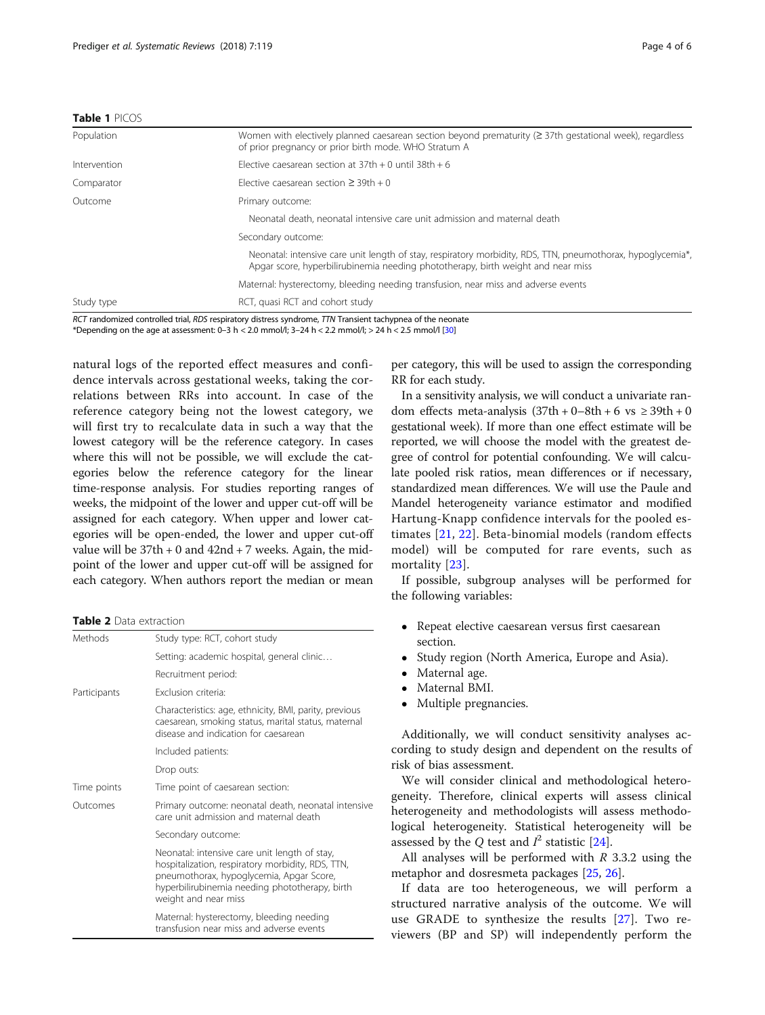<span id="page-3-0"></span>

| <b>Table 1 PICOS</b> |  |  |
|----------------------|--|--|
|----------------------|--|--|

| Population   | Women with electively planned caesarean section beyond prematurity ( $\geq$ 37th gestational week), regardless<br>of prior pregnancy or prior birth mode. WHO Stratum A                        |  |
|--------------|------------------------------------------------------------------------------------------------------------------------------------------------------------------------------------------------|--|
| Intervention | Elective caesarean section at $37th + 0$ until $38th + 6$                                                                                                                                      |  |
| Comparator   | Elective caesarean section $\geq$ 39th + 0                                                                                                                                                     |  |
| Outcome      | Primary outcome:                                                                                                                                                                               |  |
|              | Neonatal death, neonatal intensive care unit admission and maternal death                                                                                                                      |  |
|              | Secondary outcome:                                                                                                                                                                             |  |
|              | Neonatal: intensive care unit length of stay, respiratory morbidity, RDS, TTN, pneumothorax, hypoglycemia*<br>Apgar score, hyperbilirubinemia needing phototherapy, birth weight and near miss |  |
|              | Maternal: hysterectomy, bleeding needing transfusion, near miss and adverse events                                                                                                             |  |
| Study type   | RCT, quasi RCT and cohort study                                                                                                                                                                |  |

RCT randomized controlled trial, RDS respiratory distress syndrome, TTN Transient tachypnea of the neonate

\*Depending on the age at assessment: 0–3 h < 2.0 mmol/l; 3–24 h < 2.2 mmol/l; > 24 h < 2.5 mmol/l [\[30](#page-5-0)]

natural logs of the reported effect measures and confidence intervals across gestational weeks, taking the correlations between RRs into account. In case of the reference category being not the lowest category, we will first try to recalculate data in such a way that the lowest category will be the reference category. In cases where this will not be possible, we will exclude the categories below the reference category for the linear time-response analysis. For studies reporting ranges of weeks, the midpoint of the lower and upper cut-off will be assigned for each category. When upper and lower categories will be open-ended, the lower and upper cut-off value will be 37th + 0 and 42nd + 7 weeks. Again, the midpoint of the lower and upper cut-off will be assigned for each category. When authors report the median or mean

Table 2 Data extraction

| Methods      | Study type: RCT, cohort study                                                                                                                                                                                            |  |  |
|--------------|--------------------------------------------------------------------------------------------------------------------------------------------------------------------------------------------------------------------------|--|--|
|              | Setting: academic hospital, general clinic                                                                                                                                                                               |  |  |
|              | Recruitment period:                                                                                                                                                                                                      |  |  |
| Participants | Exclusion criteria:                                                                                                                                                                                                      |  |  |
|              | Characteristics: age, ethnicity, BMI, parity, previous<br>caesarean, smoking status, marital status, maternal<br>disease and indication for caesarean                                                                    |  |  |
|              | Included patients:                                                                                                                                                                                                       |  |  |
|              | Drop outs:                                                                                                                                                                                                               |  |  |
| Time points  | Time point of caesarean section:                                                                                                                                                                                         |  |  |
| Outcomes     | Primary outcome: neonatal death, neonatal intensive<br>care unit admission and maternal death                                                                                                                            |  |  |
|              | Secondary outcome:                                                                                                                                                                                                       |  |  |
|              | Neonatal: intensive care unit length of stay,<br>hospitalization, respiratory morbidity, RDS, TTN,<br>pneumothorax, hypoglycemia, Apgar Score,<br>hyperbilirubinemia needing phototherapy, birth<br>weight and near miss |  |  |
|              | Maternal: hysterectomy, bleeding needing<br>transfusion near miss and adverse events                                                                                                                                     |  |  |

per category, this will be used to assign the corresponding RR for each study.

In a sensitivity analysis, we will conduct a univariate random effects meta-analysis  $(37th + 0-8th + 6 \text{ vs } \geq 39th + 0$ gestational week). If more than one effect estimate will be reported, we will choose the model with the greatest degree of control for potential confounding. We will calculate pooled risk ratios, mean differences or if necessary, standardized mean differences. We will use the Paule and Mandel heterogeneity variance estimator and modified Hartung-Knapp confidence intervals for the pooled estimates [[21](#page-5-0), [22\]](#page-5-0). Beta-binomial models (random effects model) will be computed for rare events, such as mortality [[23](#page-5-0)].

If possible, subgroup analyses will be performed for the following variables:

- Repeat elective caesarean versus first caesarean section.
- Study region (North America, Europe and Asia).
- Maternal age.
- Maternal BMI.<br>• Multiple pregn
- Multiple pregnancies.

Additionally, we will conduct sensitivity analyses according to study design and dependent on the results of risk of bias assessment.

We will consider clinical and methodological heterogeneity. Therefore, clinical experts will assess clinical heterogeneity and methodologists will assess methodological heterogeneity. Statistical heterogeneity will be assessed by the Q test and  $I^2$  statistic [[24\]](#page-5-0).

All analyses will be performed with  $R$  3.3.2 using the metaphor and dosresmeta packages [\[25](#page-5-0), [26](#page-5-0)].

If data are too heterogeneous, we will perform a structured narrative analysis of the outcome. We will use GRADE to synthesize the results [[27](#page-5-0)]. Two reviewers (BP and SP) will independently perform the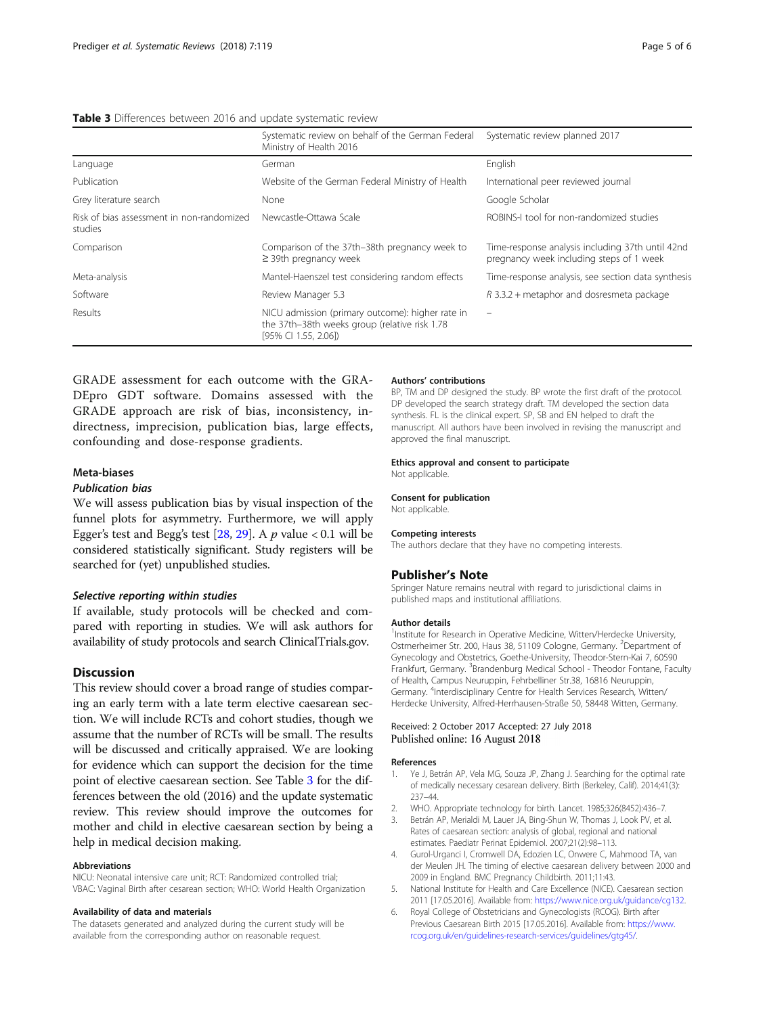<span id="page-4-0"></span>

| Table 3 Differences between 2016 and update systematic review |  |
|---------------------------------------------------------------|--|
|---------------------------------------------------------------|--|

|                                                      | Systematic review on behalf of the German Federal<br>Ministry of Health 2016                                              | Systematic review planned 2017                                                               |
|------------------------------------------------------|---------------------------------------------------------------------------------------------------------------------------|----------------------------------------------------------------------------------------------|
| Language                                             | German                                                                                                                    | English                                                                                      |
| Publication                                          | Website of the German Federal Ministry of Health                                                                          | International peer reviewed journal                                                          |
| Grey literature search                               | None                                                                                                                      | Google Scholar                                                                               |
| Risk of bias assessment in non-randomized<br>studies | Newcastle-Ottawa Scale                                                                                                    | ROBINS-I tool for non-randomized studies                                                     |
| Comparison                                           | Comparison of the 37th-38th pregnancy week to<br>$\geq$ 39th pregnancy week                                               | Time-response analysis including 37th until 42nd<br>pregnancy week including steps of 1 week |
| Meta-analysis                                        | Mantel-Haenszel test considering random effects                                                                           | Time-response analysis, see section data synthesis                                           |
| Software                                             | Review Manager 5.3                                                                                                        | $R$ 3.3.2 + metaphor and dosresmeta package                                                  |
| Results                                              | NICU admission (primary outcome): higher rate in<br>the 37th-38th weeks group (relative risk 1.78<br>[95% CI 1.55, 2.06]) | $\overline{\phantom{m}}$                                                                     |

GRADE assessment for each outcome with the GRA-DEpro GDT software. Domains assessed with the GRADE approach are risk of bias, inconsistency, indirectness, imprecision, publication bias, large effects, confounding and dose-response gradients.

# Meta-biases

#### Publication bias

We will assess publication bias by visual inspection of the funnel plots for asymmetry. Furthermore, we will apply Egger's test and Begg's test [\[28,](#page-5-0) [29](#page-5-0)]. A  $p$  value < 0.1 will be considered statistically significant. Study registers will be searched for (yet) unpublished studies.

# Selective reporting within studies

If available, study protocols will be checked and compared with reporting in studies. We will ask authors for availability of study protocols and search ClinicalTrials.gov.

# **Discussion**

This review should cover a broad range of studies comparing an early term with a late term elective caesarean section. We will include RCTs and cohort studies, though we assume that the number of RCTs will be small. The results will be discussed and critically appraised. We are looking for evidence which can support the decision for the time point of elective caesarean section. See Table 3 for the differences between the old (2016) and the update systematic review. This review should improve the outcomes for mother and child in elective caesarean section by being a help in medical decision making.

# Abbreviations

NICU: Neonatal intensive care unit; RCT: Randomized controlled trial; VBAC: Vaginal Birth after cesarean section; WHO: World Health Organization

#### Availability of data and materials

The datasets generated and analyzed during the current study will be available from the corresponding author on reasonable request.

#### Authors' contributions

BP, TM and DP designed the study. BP wrote the first draft of the protocol. DP developed the search strategy draft. TM developed the section data synthesis. FL is the clinical expert. SP, SB and EN helped to draft the manuscript. All authors have been involved in revising the manuscript and approved the final manuscript.

#### Ethics approval and consent to participate

Not applicable.

#### Consent for publication

Not applicable.

#### Competing interests

The authors declare that they have no competing interests.

#### Publisher's Note

Springer Nature remains neutral with regard to jurisdictional claims in published maps and institutional affiliations.

#### Author details

<sup>1</sup>Institute for Research in Operative Medicine, Witten/Herdecke University, Ostmerheimer Str. 200, Haus 38, 51109 Cologne, Germany. <sup>2</sup>Department of Gynecology and Obstetrics, Goethe-University, Theodor-Stern-Kai 7, 60590 Frankfurt, Germany. <sup>3</sup> Brandenburg Medical School - Theodor Fontane, Faculty of Health, Campus Neuruppin, Fehrbelliner Str.38, 16816 Neuruppin, Germany. <sup>4</sup>Interdisciplinary Centre for Health Services Research, Witten/ Herdecke University, Alfred-Herrhausen-Straße 50, 58448 Witten, Germany.

#### Received: 2 October 2017 Accepted: 27 July 2018 Published online: 16 August 2018

#### References

- 1. Ye J, Betrán AP, Vela MG, Souza JP, Zhang J. Searching for the optimal rate of medically necessary cesarean delivery. Birth (Berkeley, Calif). 2014;41(3): 237–44.
- 2. WHO. Appropriate technology for birth. Lancet. 1985;326(8452):436–7.
- 3. Betrán AP, Merialdi M, Lauer JA, Bing-Shun W, Thomas J, Look PV, et al. Rates of caesarean section: analysis of global, regional and national estimates. Paediatr Perinat Epidemiol. 2007;21(2):98–113.
- 4. Gurol-Urganci I, Cromwell DA, Edozien LC, Onwere C, Mahmood TA, van der Meulen JH. The timing of elective caesarean delivery between 2000 and 2009 in England. BMC Pregnancy Childbirth. 2011;11:43.
- 5. National Institute for Health and Care Excellence (NICE). Caesarean section 2011 [17.05.2016]. Available from: [https://www.nice.org.uk/guidance/cg132.](https://www.nice.org.uk/guidance/cg132)
- Royal College of Obstetricians and Gynecologists (RCOG). Birth after Previous Caesarean Birth 2015 [17.05.2016]. Available from: [https://www.](https://www.rcog.org.uk/en/guidelines-research-services/guidelines/gtg45) [rcog.org.uk/en/guidelines-research-services/guidelines/gtg45/](https://www.rcog.org.uk/en/guidelines-research-services/guidelines/gtg45).